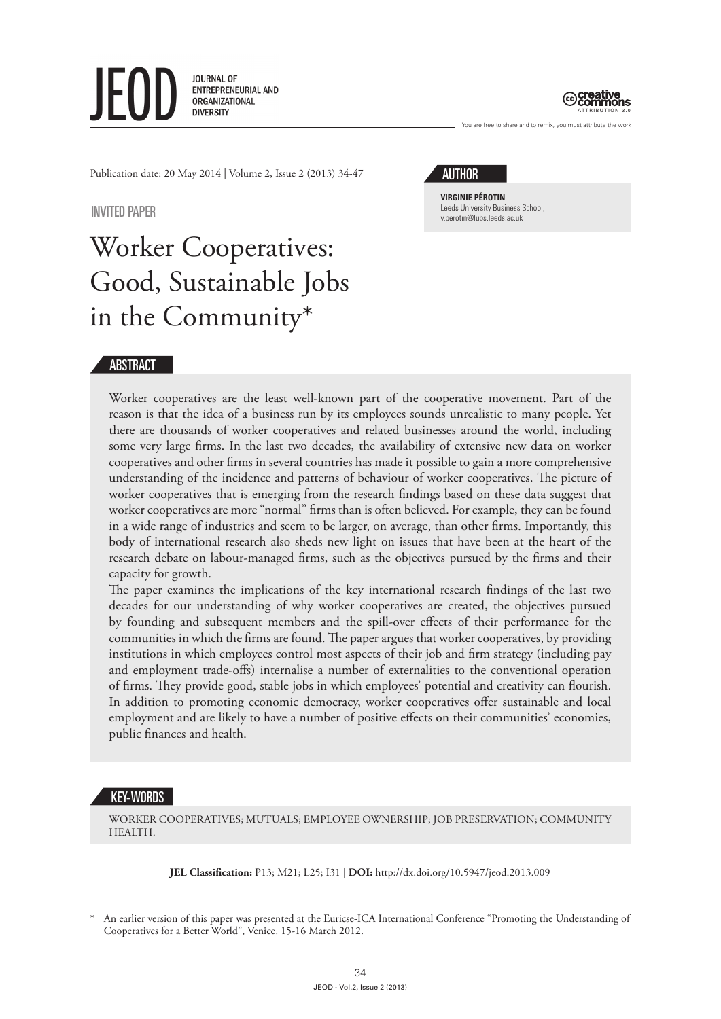**JOURNAL OF** ENTREPRENEURIAL AND ORGANIZATIONAL **DIVERSITY** 



You are free to share and to remix, you must attribute the work

Publication date: 20 May 2014 | Volume 2, Issue 2 (2013) 34-47

## INVITED PAPER

# Worker Cooperatives: Good, Sustainable Jobs in the Community\*

## AUTHOR

**VIRGINIE PÉROTIN** Leeds University Business School, v.perotin@lubs.leeds.ac.uk

## ABSTRACT

Worker cooperatives are the least well-known part of the cooperative movement. Part of the reason is that the idea of a business run by its employees sounds unrealistic to many people. Yet there are thousands of worker cooperatives and related businesses around the world, including some very large firms. In the last two decades, the availability of extensive new data on worker cooperatives and other firms in several countries has made it possible to gain a more comprehensive understanding of the incidence and patterns of behaviour of worker cooperatives. The picture of worker cooperatives that is emerging from the research findings based on these data suggest that worker cooperatives are more "normal" firms than is often believed. For example, they can be found in a wide range of industries and seem to be larger, on average, than other firms. Importantly, this body of international research also sheds new light on issues that have been at the heart of the research debate on labour-managed firms, such as the objectives pursued by the firms and their capacity for growth.

The paper examines the implications of the key international research findings of the last two decades for our understanding of why worker cooperatives are created, the objectives pursued by founding and subsequent members and the spill-over effects of their performance for the communities in which the firms are found. The paper argues that worker cooperatives, by providing institutions in which employees control most aspects of their job and firm strategy (including pay and employment trade-offs) internalise a number of externalities to the conventional operation of firms. They provide good, stable jobs in which employees' potential and creativity can flourish. In addition to promoting economic democracy, worker cooperatives offer sustainable and local employment and are likely to have a number of positive effects on their communities' economies, public finances and health.

## KEY-WORDS

WORKER COOPERATIVES; MUTUALS; EMPLOYEE OWNERSHIP; JOB PRESERVATION; COMMUNITY **HEALTH** 

**JEL Classification:** P13; M21; L25; I31 | **DOI:** http://dx.doi.org/10.5947/jeod.2013.009

An earlier version of this paper was presented at the Euricse-ICA International Conference "Promoting the Understanding of Cooperatives for a Better World", Venice, 15-16 March 2012.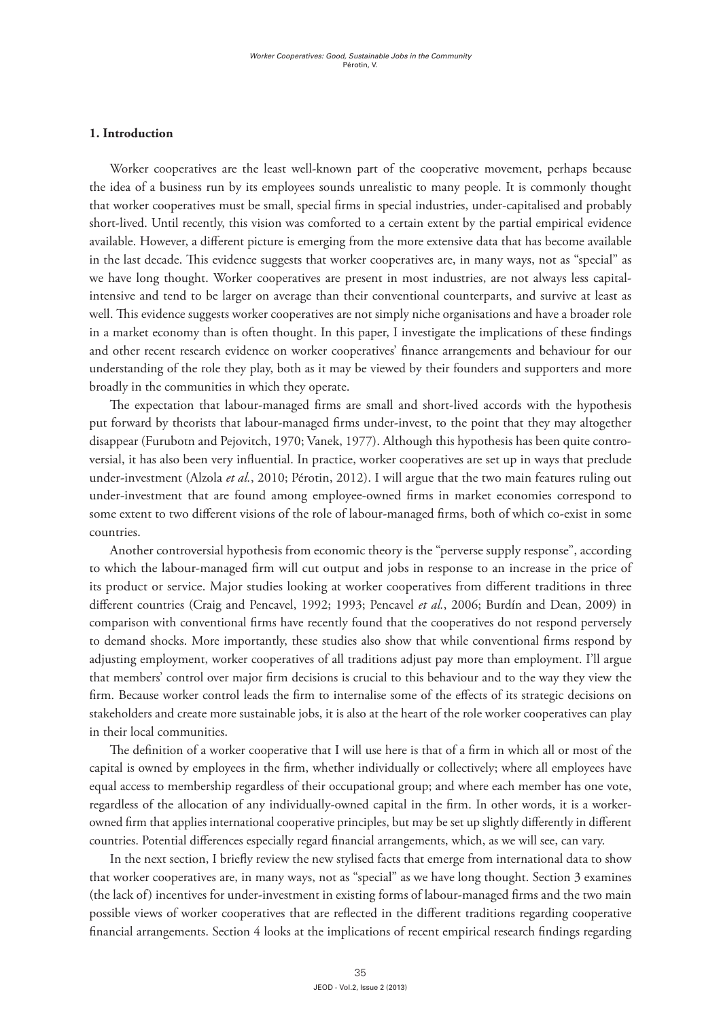#### **1. Introduction**

Worker cooperatives are the least well-known part of the cooperative movement, perhaps because the idea of a business run by its employees sounds unrealistic to many people. It is commonly thought that worker cooperatives must be small, special firms in special industries, under-capitalised and probably short-lived. Until recently, this vision was comforted to a certain extent by the partial empirical evidence available. However, a different picture is emerging from the more extensive data that has become available in the last decade. This evidence suggests that worker cooperatives are, in many ways, not as "special" as we have long thought. Worker cooperatives are present in most industries, are not always less capitalintensive and tend to be larger on average than their conventional counterparts, and survive at least as well. This evidence suggests worker cooperatives are not simply niche organisations and have a broader role in a market economy than is often thought. In this paper, I investigate the implications of these findings and other recent research evidence on worker cooperatives' finance arrangements and behaviour for our understanding of the role they play, both as it may be viewed by their founders and supporters and more broadly in the communities in which they operate.

The expectation that labour-managed firms are small and short-lived accords with the hypothesis put forward by theorists that labour-managed firms under-invest, to the point that they may altogether disappear (Furubotn and Pejovitch, 1970; Vanek, 1977). Although this hypothesis has been quite controversial, it has also been very influential. In practice, worker cooperatives are set up in ways that preclude under-investment (Alzola *et al.*, 2010; Pérotin, 2012). I will argue that the two main features ruling out under-investment that are found among employee-owned firms in market economies correspond to some extent to two different visions of the role of labour-managed firms, both of which co-exist in some countries.

Another controversial hypothesis from economic theory is the "perverse supply response", according to which the labour-managed firm will cut output and jobs in response to an increase in the price of its product or service. Major studies looking at worker cooperatives from different traditions in three different countries (Craig and Pencavel, 1992; 1993; Pencavel *et al.*, 2006; Burdín and Dean, 2009) in comparison with conventional firms have recently found that the cooperatives do not respond perversely to demand shocks. More importantly, these studies also show that while conventional firms respond by adjusting employment, worker cooperatives of all traditions adjust pay more than employment. I'll argue that members' control over major firm decisions is crucial to this behaviour and to the way they view the firm. Because worker control leads the firm to internalise some of the effects of its strategic decisions on stakeholders and create more sustainable jobs, it is also at the heart of the role worker cooperatives can play in their local communities.

The definition of a worker cooperative that I will use here is that of a firm in which all or most of the capital is owned by employees in the firm, whether individually or collectively; where all employees have equal access to membership regardless of their occupational group; and where each member has one vote, regardless of the allocation of any individually-owned capital in the firm. In other words, it is a workerowned firm that applies international cooperative principles, but may be set up slightly differently in different countries. Potential differences especially regard financial arrangements, which, as we will see, can vary.

In the next section, I briefly review the new stylised facts that emerge from international data to show that worker cooperatives are, in many ways, not as "special" as we have long thought. Section 3 examines (the lack of) incentives for under-investment in existing forms of labour-managed firms and the two main possible views of worker cooperatives that are reflected in the different traditions regarding cooperative financial arrangements. Section 4 looks at the implications of recent empirical research findings regarding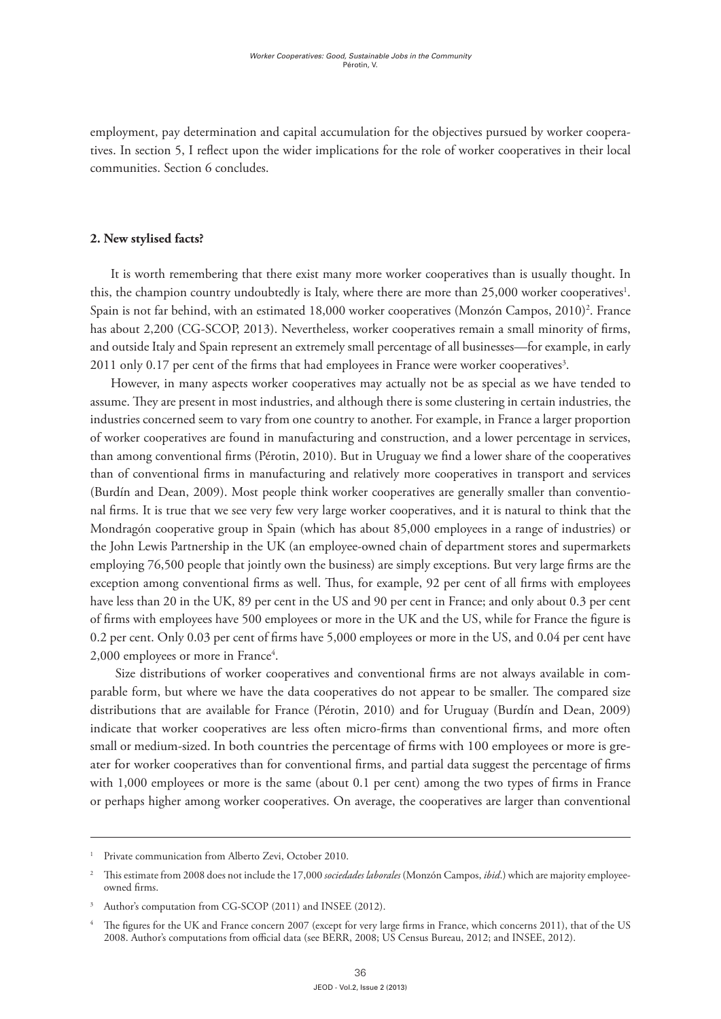employment, pay determination and capital accumulation for the objectives pursued by worker cooperatives. In section 5, I reflect upon the wider implications for the role of worker cooperatives in their local communities. Section 6 concludes.

### **2. New stylised facts?**

It is worth remembering that there exist many more worker cooperatives than is usually thought. In this, the champion country undoubtedly is Italy, where there are more than 25,000 worker cooperatives<sup>1</sup>. Spain is not far behind, with an estimated 18,000 worker cooperatives (Monzón Campos, 2010)<sup>2</sup>. France has about 2,200 (CG-SCOP, 2013). Nevertheless, worker cooperatives remain a small minority of firms, and outside Italy and Spain represent an extremely small percentage of all businesses—for example, in early  $2011$  only  $0.17$  per cent of the firms that had employees in France were worker cooperatives $^3$ .

However, in many aspects worker cooperatives may actually not be as special as we have tended to assume. They are present in most industries, and although there is some clustering in certain industries, the industries concerned seem to vary from one country to another. For example, in France a larger proportion of worker cooperatives are found in manufacturing and construction, and a lower percentage in services, than among conventional firms (Pérotin, 2010). But in Uruguay we find a lower share of the cooperatives than of conventional firms in manufacturing and relatively more cooperatives in transport and services (Burdín and Dean, 2009). Most people think worker cooperatives are generally smaller than conventional firms. It is true that we see very few very large worker cooperatives, and it is natural to think that the Mondragón cooperative group in Spain (which has about 85,000 employees in a range of industries) or the John Lewis Partnership in the UK (an employee-owned chain of department stores and supermarkets employing 76,500 people that jointly own the business) are simply exceptions. But very large firms are the exception among conventional firms as well. Thus, for example, 92 per cent of all firms with employees have less than 20 in the UK, 89 per cent in the US and 90 per cent in France; and only about 0.3 per cent of firms with employees have 500 employees or more in the UK and the US, while for France the figure is 0.2 per cent. Only 0.03 per cent of firms have 5,000 employees or more in the US, and 0.04 per cent have 2,000 employees or more in France<sup>4</sup>.

 Size distributions of worker cooperatives and conventional firms are not always available in comparable form, but where we have the data cooperatives do not appear to be smaller. The compared size distributions that are available for France (Pérotin, 2010) and for Uruguay (Burdín and Dean, 2009) indicate that worker cooperatives are less often micro-firms than conventional firms, and more often small or medium-sized. In both countries the percentage of firms with 100 employees or more is greater for worker cooperatives than for conventional firms, and partial data suggest the percentage of firms with 1,000 employees or more is the same (about 0.1 per cent) among the two types of firms in France or perhaps higher among worker cooperatives. On average, the cooperatives are larger than conventional

Private communication from Alberto Zevi, October 2010.

<sup>2</sup> This estimate from 2008 does not include the 17,000 *sociedades laborales* (Monzón Campos, *ibid*.) which are majority employeeowned firms.

Author's computation from CG-SCOP (2011) and INSEE (2012).

The figures for the UK and France concern 2007 (except for very large firms in France, which concerns 2011), that of the US 2008. Author's computations from official data (see BERR, 2008; US Census Bureau, 2012; and INSEE, 2012).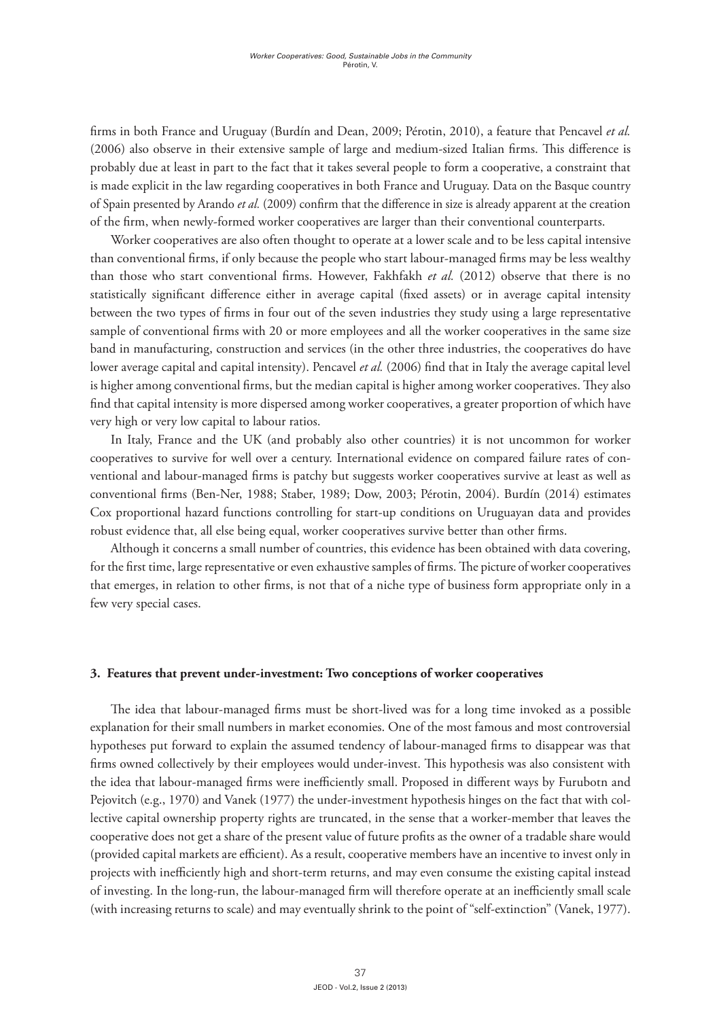firms in both France and Uruguay (Burdín and Dean, 2009; Pérotin, 2010), a feature that Pencavel *et al.* (2006) also observe in their extensive sample of large and medium-sized Italian firms. This difference is probably due at least in part to the fact that it takes several people to form a cooperative, a constraint that is made explicit in the law regarding cooperatives in both France and Uruguay. Data on the Basque country of Spain presented by Arando *et al.* (2009) confirm that the difference in size is already apparent at the creation of the firm, when newly-formed worker cooperatives are larger than their conventional counterparts.

Worker cooperatives are also often thought to operate at a lower scale and to be less capital intensive than conventional firms, if only because the people who start labour-managed firms may be less wealthy than those who start conventional firms. However, Fakhfakh *et al.* (2012) observe that there is no statistically significant difference either in average capital (fixed assets) or in average capital intensity between the two types of firms in four out of the seven industries they study using a large representative sample of conventional firms with 20 or more employees and all the worker cooperatives in the same size band in manufacturing, construction and services (in the other three industries, the cooperatives do have lower average capital and capital intensity). Pencavel *et al.* (2006) find that in Italy the average capital level is higher among conventional firms, but the median capital is higher among worker cooperatives. They also find that capital intensity is more dispersed among worker cooperatives, a greater proportion of which have very high or very low capital to labour ratios.

In Italy, France and the UK (and probably also other countries) it is not uncommon for worker cooperatives to survive for well over a century. International evidence on compared failure rates of conventional and labour-managed firms is patchy but suggests worker cooperatives survive at least as well as conventional firms (Ben-Ner, 1988; Staber, 1989; Dow, 2003; Pérotin, 2004). Burdín (2014) estimates Cox proportional hazard functions controlling for start-up conditions on Uruguayan data and provides robust evidence that, all else being equal, worker cooperatives survive better than other firms.

Although it concerns a small number of countries, this evidence has been obtained with data covering, for the first time, large representative or even exhaustive samples of firms. The picture of worker cooperatives that emerges, in relation to other firms, is not that of a niche type of business form appropriate only in a few very special cases.

#### **3. Features that prevent under-investment: Two conceptions of worker cooperatives**

The idea that labour-managed firms must be short-lived was for a long time invoked as a possible explanation for their small numbers in market economies. One of the most famous and most controversial hypotheses put forward to explain the assumed tendency of labour-managed firms to disappear was that firms owned collectively by their employees would under-invest. This hypothesis was also consistent with the idea that labour-managed firms were inefficiently small. Proposed in different ways by Furubotn and Pejovitch (e.g., 1970) and Vanek (1977) the under-investment hypothesis hinges on the fact that with collective capital ownership property rights are truncated, in the sense that a worker-member that leaves the cooperative does not get a share of the present value of future profits as the owner of a tradable share would (provided capital markets are efficient). As a result, cooperative members have an incentive to invest only in projects with inefficiently high and short-term returns, and may even consume the existing capital instead of investing. In the long-run, the labour-managed firm will therefore operate at an inefficiently small scale (with increasing returns to scale) and may eventually shrink to the point of "self-extinction" (Vanek, 1977).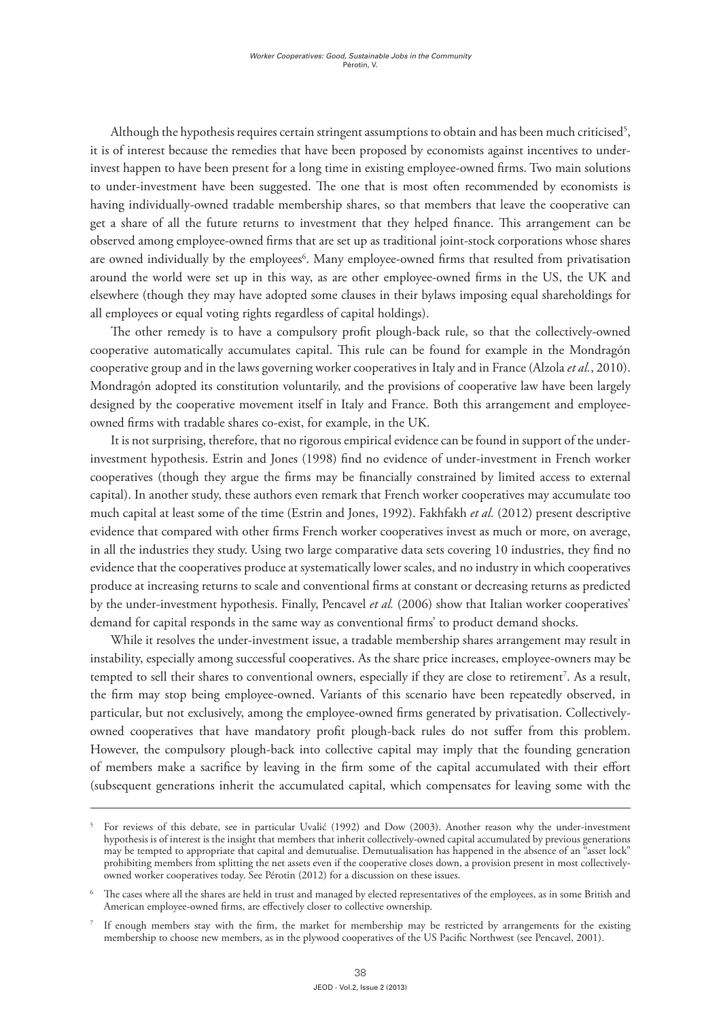Although the hypothesis requires certain stringent assumptions to obtain and has been much criticised<sup>5</sup>, it is of interest because the remedies that have been proposed by economists against incentives to underinvest happen to have been present for a long time in existing employee-owned firms. Two main solutions to under-investment have been suggested. The one that is most often recommended by economists is having individually-owned tradable membership shares, so that members that leave the cooperative can get a share of all the future returns to investment that they helped finance. This arrangement can be observed among employee-owned firms that are set up as traditional joint-stock corporations whose shares are owned individually by the employees<sup>6</sup>. Many employee-owned firms that resulted from privatisation around the world were set up in this way, as are other employee-owned firms in the US, the UK and elsewhere (though they may have adopted some clauses in their bylaws imposing equal shareholdings for all employees or equal voting rights regardless of capital holdings).

The other remedy is to have a compulsory profit plough-back rule, so that the collectively-owned cooperative automatically accumulates capital. This rule can be found for example in the Mondragón cooperative group and in the laws governing worker cooperatives in Italy and in France (Alzola *et al.*, 2010). Mondragón adopted its constitution voluntarily, and the provisions of cooperative law have been largely designed by the cooperative movement itself in Italy and France. Both this arrangement and employeeowned firms with tradable shares co-exist, for example, in the UK.

It is not surprising, therefore, that no rigorous empirical evidence can be found in support of the underinvestment hypothesis. Estrin and Jones (1998) find no evidence of under-investment in French worker cooperatives (though they argue the firms may be financially constrained by limited access to external capital). In another study, these authors even remark that French worker cooperatives may accumulate too much capital at least some of the time (Estrin and Jones, 1992). Fakhfakh *et al.* (2012) present descriptive evidence that compared with other firms French worker cooperatives invest as much or more, on average, in all the industries they study. Using two large comparative data sets covering 10 industries, they find no evidence that the cooperatives produce at systematically lower scales, and no industry in which cooperatives produce at increasing returns to scale and conventional firms at constant or decreasing returns as predicted by the under-investment hypothesis. Finally, Pencavel *et al.* (2006) show that Italian worker cooperatives' demand for capital responds in the same way as conventional firms' to product demand shocks.

While it resolves the under-investment issue, a tradable membership shares arrangement may result in instability, especially among successful cooperatives. As the share price increases, employee-owners may be tempted to sell their shares to conventional owners, especially if they are close to retirement<sup>7</sup>. As a result, the firm may stop being employee-owned. Variants of this scenario have been repeatedly observed, in particular, but not exclusively, among the employee-owned firms generated by privatisation. Collectivelyowned cooperatives that have mandatory profit plough-back rules do not suffer from this problem. However, the compulsory plough-back into collective capital may imply that the founding generation of members make a sacrifice by leaving in the firm some of the capital accumulated with their effort (subsequent generations inherit the accumulated capital, which compensates for leaving some with the

<sup>5</sup> For reviews of this debate, see in particular Uvalić (1992) and Dow (2003). Another reason why the under-investment hypothesis is of interest is the insight that members that inherit collectively-owned capital accumulated by previous generations may be tempted to appropriate that capital and demutualise. Demutualisation has happened in the absence of an "asset lock" prohibiting members from splitting the net assets even if the cooperative closes down, a provision present in most collectivelyowned worker cooperatives today. See Pérotin (2012) for a discussion on these issues.

The cases where all the shares are held in trust and managed by elected representatives of the employees, as in some British and American employee-owned firms, are effectively closer to collective ownership.

If enough members stay with the firm, the market for membership may be restricted by arrangements for the existing membership to choose new members, as in the plywood cooperatives of the US Pacific Northwest (see Pencavel, 2001).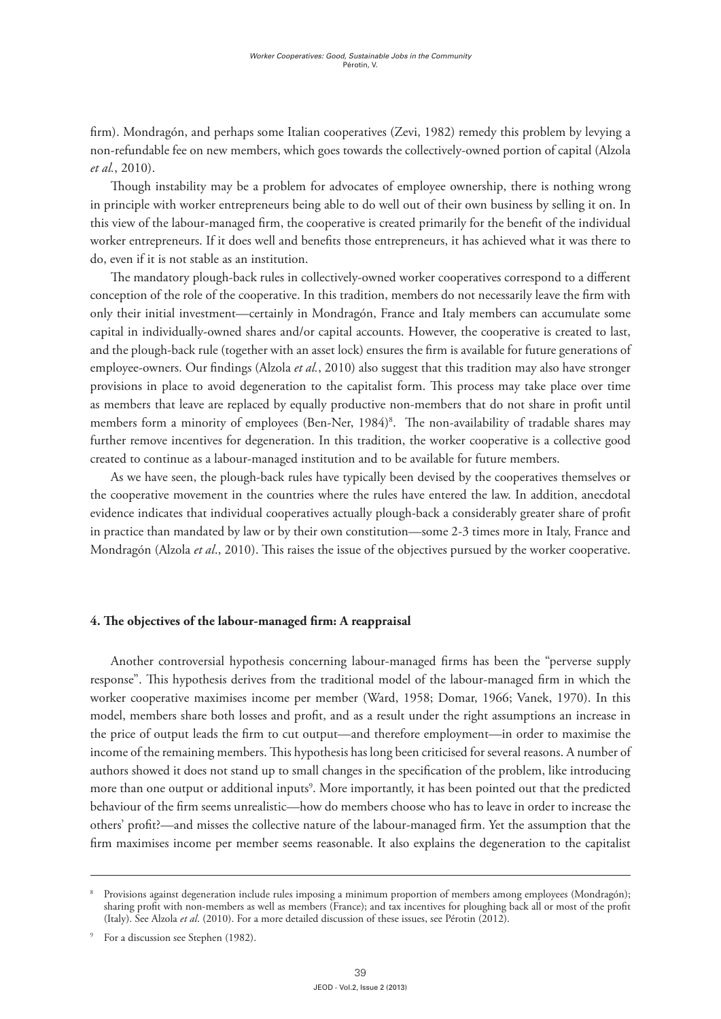firm). Mondragón, and perhaps some Italian cooperatives (Zevi, 1982) remedy this problem by levying a non-refundable fee on new members, which goes towards the collectively-owned portion of capital (Alzola *et al.*, 2010).

Though instability may be a problem for advocates of employee ownership, there is nothing wrong in principle with worker entrepreneurs being able to do well out of their own business by selling it on. In this view of the labour-managed firm, the cooperative is created primarily for the benefit of the individual worker entrepreneurs. If it does well and benefits those entrepreneurs, it has achieved what it was there to do, even if it is not stable as an institution.

The mandatory plough-back rules in collectively-owned worker cooperatives correspond to a different conception of the role of the cooperative. In this tradition, members do not necessarily leave the firm with only their initial investment—certainly in Mondragón, France and Italy members can accumulate some capital in individually-owned shares and/or capital accounts. However, the cooperative is created to last, and the plough-back rule (together with an asset lock) ensures the firm is available for future generations of employee-owners. Our findings (Alzola *et al.*, 2010) also suggest that this tradition may also have stronger provisions in place to avoid degeneration to the capitalist form. This process may take place over time as members that leave are replaced by equally productive non-members that do not share in profit until members form a minority of employees (Ben-Ner, 1984)<sup>8</sup>. The non-availability of tradable shares may further remove incentives for degeneration. In this tradition, the worker cooperative is a collective good created to continue as a labour-managed institution and to be available for future members.

As we have seen, the plough-back rules have typically been devised by the cooperatives themselves or the cooperative movement in the countries where the rules have entered the law. In addition, anecdotal evidence indicates that individual cooperatives actually plough-back a considerably greater share of profit in practice than mandated by law or by their own constitution—some 2-3 times more in Italy, France and Mondragón (Alzola *et al*., 2010). This raises the issue of the objectives pursued by the worker cooperative.

#### **4. The objectives of the labour-managed firm: A reappraisal**

Another controversial hypothesis concerning labour-managed firms has been the "perverse supply response". This hypothesis derives from the traditional model of the labour-managed firm in which the worker cooperative maximises income per member (Ward, 1958; Domar, 1966; Vanek, 1970). In this model, members share both losses and profit, and as a result under the right assumptions an increase in the price of output leads the firm to cut output—and therefore employment—in order to maximise the income of the remaining members. This hypothesis has long been criticised for several reasons. A number of authors showed it does not stand up to small changes in the specification of the problem, like introducing more than one output or additional inputs<sup>9</sup>. More importantly, it has been pointed out that the predicted behaviour of the firm seems unrealistic—how do members choose who has to leave in order to increase the others' profit?—and misses the collective nature of the labour-managed firm. Yet the assumption that the firm maximises income per member seems reasonable. It also explains the degeneration to the capitalist

<sup>8</sup> Provisions against degeneration include rules imposing a minimum proportion of members among employees (Mondragón); sharing profit with non-members as well as members (France); and tax incentives for ploughing back all or most of the profit (Italy). See Alzola *et al*. (2010). For a more detailed discussion of these issues, see Pérotin (2012).

For a discussion see Stephen (1982).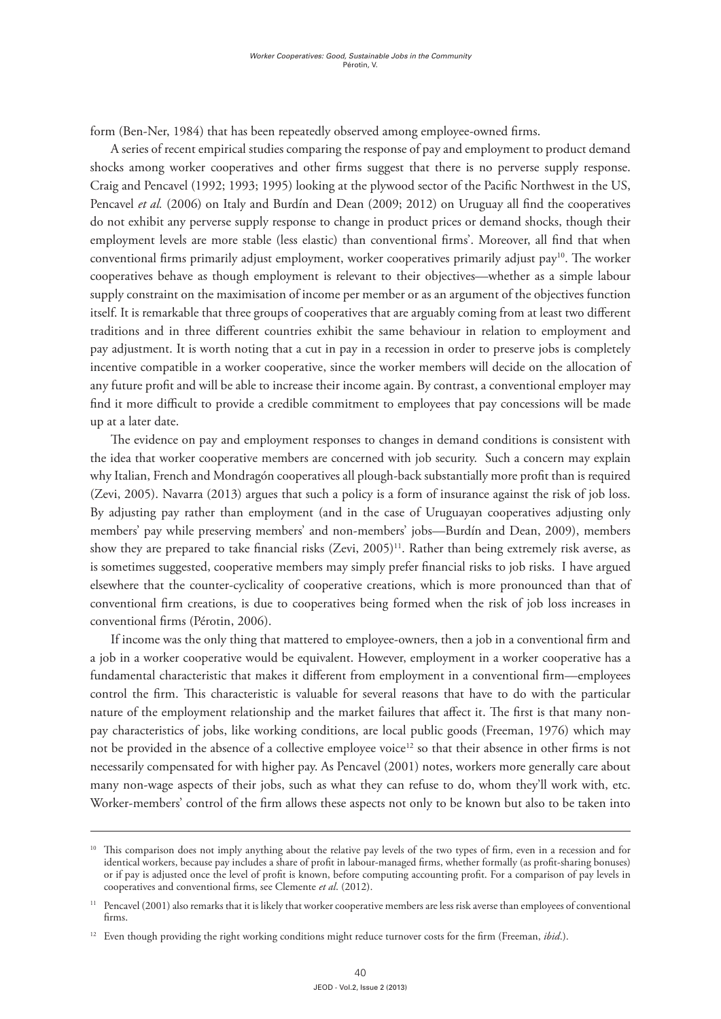form (Ben-Ner, 1984) that has been repeatedly observed among employee-owned firms.

A series of recent empirical studies comparing the response of pay and employment to product demand shocks among worker cooperatives and other firms suggest that there is no perverse supply response. Craig and Pencavel (1992; 1993; 1995) looking at the plywood sector of the Pacific Northwest in the US, Pencavel *et al.* (2006) on Italy and Burdín and Dean (2009; 2012) on Uruguay all find the cooperatives do not exhibit any perverse supply response to change in product prices or demand shocks, though their employment levels are more stable (less elastic) than conventional firms'. Moreover, all find that when conventional firms primarily adjust employment, worker cooperatives primarily adjust pay10. The worker cooperatives behave as though employment is relevant to their objectives—whether as a simple labour supply constraint on the maximisation of income per member or as an argument of the objectives function itself. It is remarkable that three groups of cooperatives that are arguably coming from at least two different traditions and in three different countries exhibit the same behaviour in relation to employment and pay adjustment. It is worth noting that a cut in pay in a recession in order to preserve jobs is completely incentive compatible in a worker cooperative, since the worker members will decide on the allocation of any future profit and will be able to increase their income again. By contrast, a conventional employer may find it more difficult to provide a credible commitment to employees that pay concessions will be made up at a later date.

The evidence on pay and employment responses to changes in demand conditions is consistent with the idea that worker cooperative members are concerned with job security. Such a concern may explain why Italian, French and Mondragón cooperatives all plough-back substantially more profit than is required (Zevi, 2005). Navarra (2013) argues that such a policy is a form of insurance against the risk of job loss. By adjusting pay rather than employment (and in the case of Uruguayan cooperatives adjusting only members' pay while preserving members' and non-members' jobs—Burdín and Dean, 2009), members show they are prepared to take financial risks (Zevi, 2005)<sup>11</sup>. Rather than being extremely risk averse, as is sometimes suggested, cooperative members may simply prefer financial risks to job risks. I have argued elsewhere that the counter-cyclicality of cooperative creations, which is more pronounced than that of conventional firm creations, is due to cooperatives being formed when the risk of job loss increases in conventional firms (Pérotin, 2006).

If income was the only thing that mattered to employee-owners, then a job in a conventional firm and a job in a worker cooperative would be equivalent. However, employment in a worker cooperative has a fundamental characteristic that makes it different from employment in a conventional firm—employees control the firm. This characteristic is valuable for several reasons that have to do with the particular nature of the employment relationship and the market failures that affect it. The first is that many nonpay characteristics of jobs, like working conditions, are local public goods (Freeman, 1976) which may not be provided in the absence of a collective employee voice<sup>12</sup> so that their absence in other firms is not necessarily compensated for with higher pay. As Pencavel (2001) notes, workers more generally care about many non-wage aspects of their jobs, such as what they can refuse to do, whom they'll work with, etc. Worker-members' control of the firm allows these aspects not only to be known but also to be taken into

<sup>&</sup>lt;sup>10</sup> This comparison does not imply anything about the relative pay levels of the two types of firm, even in a recession and for identical workers, because pay includes a share of profit in labour-managed firms, whether formally (as profit-sharing bonuses) or if pay is adjusted once the level of profit is known, before computing accounting profit. For a comparison of pay levels in cooperatives and conventional firms, see Clemente *et al*. (2012).

<sup>&</sup>lt;sup>11</sup> Pencavel (2001) also remarks that it is likely that worker cooperative members are less risk averse than employees of conventional firms.

<sup>&</sup>lt;sup>12</sup> Even though providing the right working conditions might reduce turnover costs for the firm (Freeman, *ibid*.).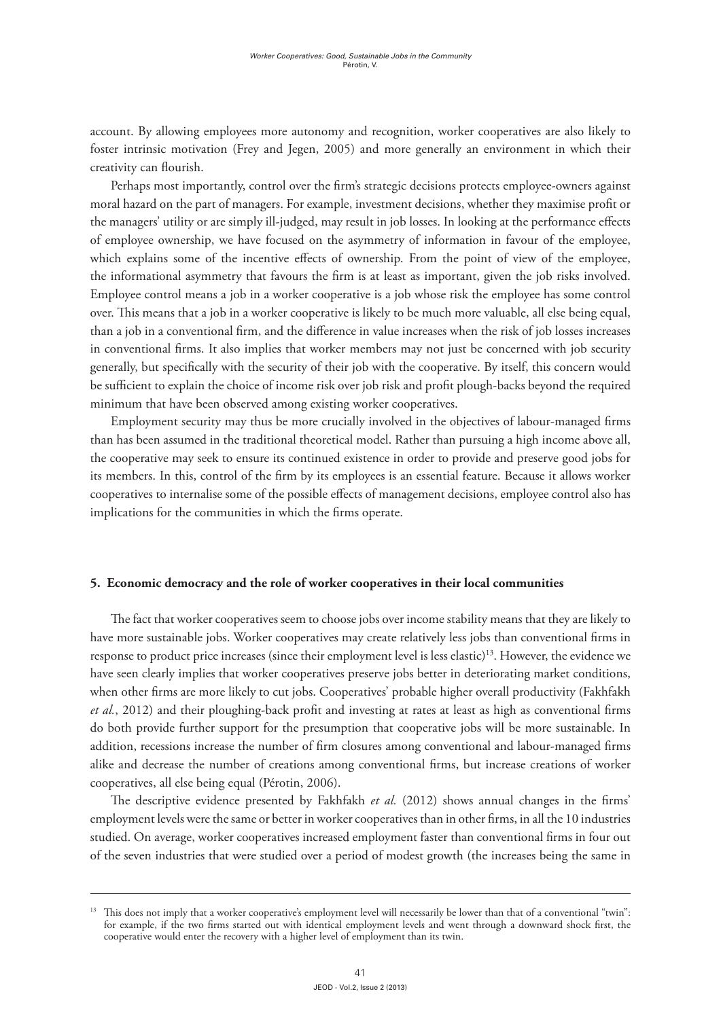account. By allowing employees more autonomy and recognition, worker cooperatives are also likely to foster intrinsic motivation (Frey and Jegen, 2005) and more generally an environment in which their creativity can flourish.

Perhaps most importantly, control over the firm's strategic decisions protects employee-owners against moral hazard on the part of managers. For example, investment decisions, whether they maximise profit or the managers' utility or are simply ill-judged, may result in job losses. In looking at the performance effects of employee ownership, we have focused on the asymmetry of information in favour of the employee, which explains some of the incentive effects of ownership. From the point of view of the employee, the informational asymmetry that favours the firm is at least as important, given the job risks involved. Employee control means a job in a worker cooperative is a job whose risk the employee has some control over. This means that a job in a worker cooperative is likely to be much more valuable, all else being equal, than a job in a conventional firm, and the difference in value increases when the risk of job losses increases in conventional firms. It also implies that worker members may not just be concerned with job security generally, but specifically with the security of their job with the cooperative. By itself, this concern would be sufficient to explain the choice of income risk over job risk and profit plough-backs beyond the required minimum that have been observed among existing worker cooperatives.

Employment security may thus be more crucially involved in the objectives of labour-managed firms than has been assumed in the traditional theoretical model. Rather than pursuing a high income above all, the cooperative may seek to ensure its continued existence in order to provide and preserve good jobs for its members. In this, control of the firm by its employees is an essential feature. Because it allows worker cooperatives to internalise some of the possible effects of management decisions, employee control also has implications for the communities in which the firms operate.

#### **5. Economic democracy and the role of worker cooperatives in their local communities**

The fact that worker cooperatives seem to choose jobs over income stability means that they are likely to have more sustainable jobs. Worker cooperatives may create relatively less jobs than conventional firms in response to product price increases (since their employment level is less elastic)13. However, the evidence we have seen clearly implies that worker cooperatives preserve jobs better in deteriorating market conditions, when other firms are more likely to cut jobs. Cooperatives' probable higher overall productivity (Fakhfakh *et al.*, 2012) and their ploughing-back profit and investing at rates at least as high as conventional firms do both provide further support for the presumption that cooperative jobs will be more sustainable. In addition, recessions increase the number of firm closures among conventional and labour-managed firms alike and decrease the number of creations among conventional firms, but increase creations of worker cooperatives, all else being equal (Pérotin, 2006).

The descriptive evidence presented by Fakhfakh *et al.* (2012) shows annual changes in the firms' employment levels were the same or better in worker cooperatives than in other firms, in all the 10 industries studied. On average, worker cooperatives increased employment faster than conventional firms in four out of the seven industries that were studied over a period of modest growth (the increases being the same in

<sup>&</sup>lt;sup>13</sup> This does not imply that a worker cooperative's employment level will necessarily be lower than that of a conventional "twin": for example, if the two firms started out with identical employment levels and went through a downward shock first, the cooperative would enter the recovery with a higher level of employment than its twin.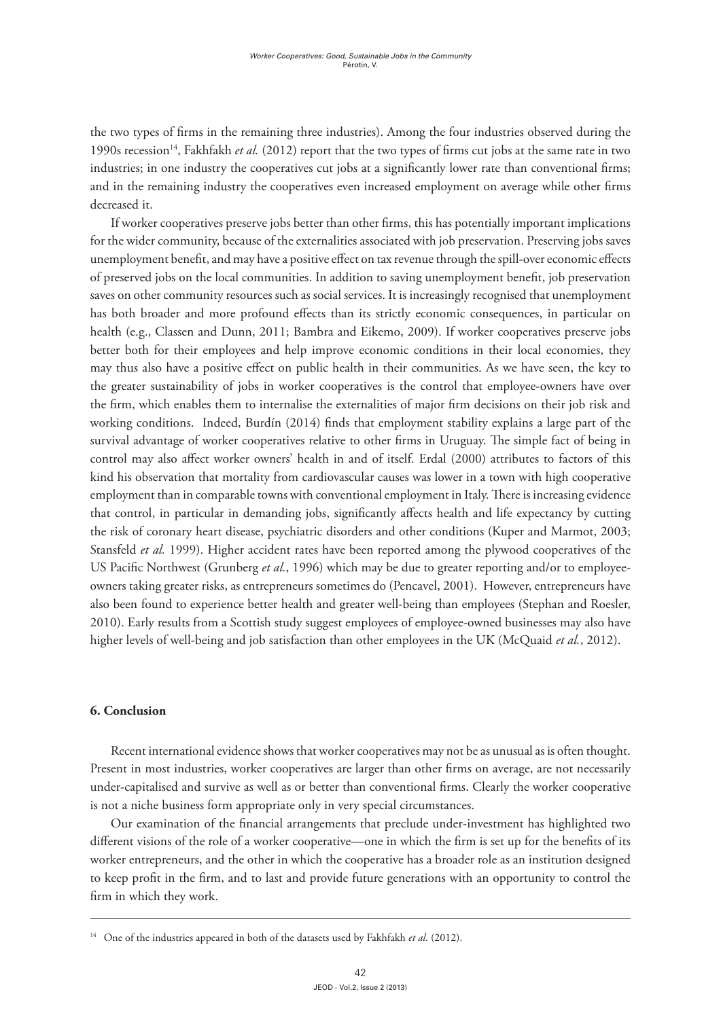the two types of firms in the remaining three industries). Among the four industries observed during the 1990s recession<sup>14</sup>, Fakhfakh *et al.* (2012) report that the two types of firms cut jobs at the same rate in two industries; in one industry the cooperatives cut jobs at a significantly lower rate than conventional firms; and in the remaining industry the cooperatives even increased employment on average while other firms decreased it.

If worker cooperatives preserve jobs better than other firms, this has potentially important implications for the wider community, because of the externalities associated with job preservation. Preserving jobs saves unemployment benefit, and may have a positive effect on tax revenue through the spill-over economic effects of preserved jobs on the local communities. In addition to saving unemployment benefit, job preservation saves on other community resources such as social services. It is increasingly recognised that unemployment has both broader and more profound effects than its strictly economic consequences, in particular on health (e.g., Classen and Dunn, 2011; Bambra and Eikemo, 2009). If worker cooperatives preserve jobs better both for their employees and help improve economic conditions in their local economies, they may thus also have a positive effect on public health in their communities. As we have seen, the key to the greater sustainability of jobs in worker cooperatives is the control that employee-owners have over the firm, which enables them to internalise the externalities of major firm decisions on their job risk and working conditions. Indeed, Burdín (2014) finds that employment stability explains a large part of the survival advantage of worker cooperatives relative to other firms in Uruguay. The simple fact of being in control may also affect worker owners' health in and of itself. Erdal (2000) attributes to factors of this kind his observation that mortality from cardiovascular causes was lower in a town with high cooperative employment than in comparable towns with conventional employment in Italy. There is increasing evidence that control, in particular in demanding jobs, significantly affects health and life expectancy by cutting the risk of coronary heart disease, psychiatric disorders and other conditions (Kuper and Marmot, 2003; Stansfeld *et al.* 1999). Higher accident rates have been reported among the plywood cooperatives of the US Pacific Northwest (Grunberg *et al.*, 1996) which may be due to greater reporting and/or to employeeowners taking greater risks, as entrepreneurs sometimes do (Pencavel, 2001). However, entrepreneurs have also been found to experience better health and greater well-being than employees (Stephan and Roesler, 2010). Early results from a Scottish study suggest employees of employee-owned businesses may also have higher levels of well-being and job satisfaction than other employees in the UK (McQuaid *et al.*, 2012).

## **6. Conclusion**

Recent international evidence shows that worker cooperatives may not be as unusual as is often thought. Present in most industries, worker cooperatives are larger than other firms on average, are not necessarily under-capitalised and survive as well as or better than conventional firms. Clearly the worker cooperative is not a niche business form appropriate only in very special circumstances.

Our examination of the financial arrangements that preclude under-investment has highlighted two different visions of the role of a worker cooperative—one in which the firm is set up for the benefits of its worker entrepreneurs, and the other in which the cooperative has a broader role as an institution designed to keep profit in the firm, and to last and provide future generations with an opportunity to control the firm in which they work.

<sup>14</sup> One of the industries appeared in both of the datasets used by Fakhfakh *et al*. (2012).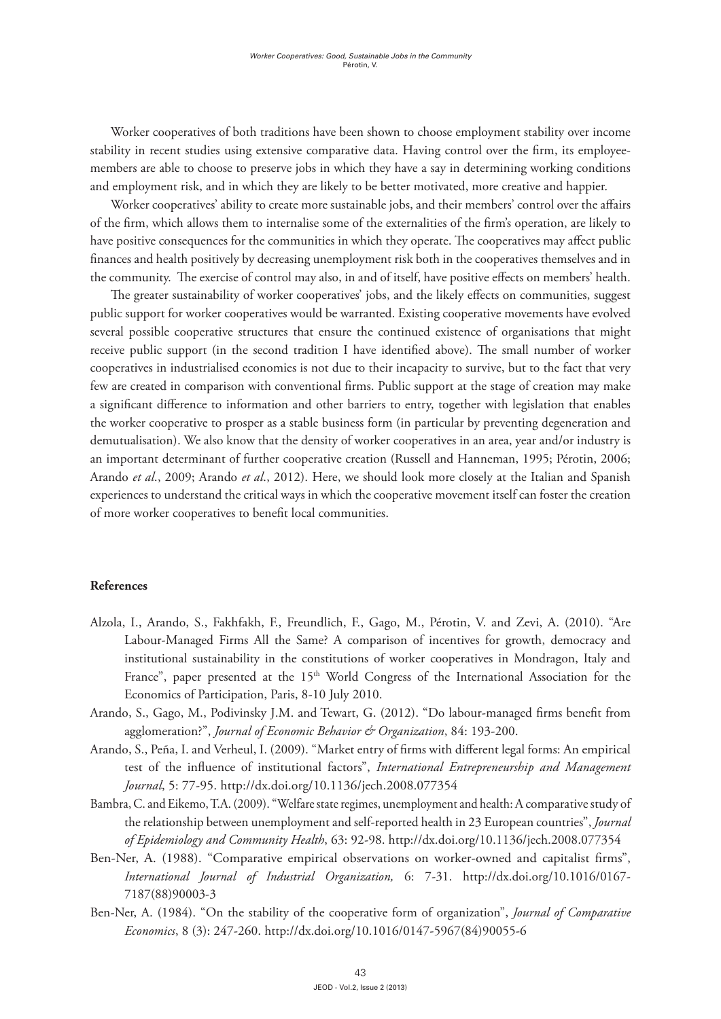Worker cooperatives of both traditions have been shown to choose employment stability over income stability in recent studies using extensive comparative data. Having control over the firm, its employeemembers are able to choose to preserve jobs in which they have a say in determining working conditions and employment risk, and in which they are likely to be better motivated, more creative and happier.

Worker cooperatives' ability to create more sustainable jobs, and their members' control over the affairs of the firm, which allows them to internalise some of the externalities of the firm's operation, are likely to have positive consequences for the communities in which they operate. The cooperatives may affect public finances and health positively by decreasing unemployment risk both in the cooperatives themselves and in the community. The exercise of control may also, in and of itself, have positive effects on members' health.

The greater sustainability of worker cooperatives' jobs, and the likely effects on communities, suggest public support for worker cooperatives would be warranted. Existing cooperative movements have evolved several possible cooperative structures that ensure the continued existence of organisations that might receive public support (in the second tradition I have identified above). The small number of worker cooperatives in industrialised economies is not due to their incapacity to survive, but to the fact that very few are created in comparison with conventional firms. Public support at the stage of creation may make a significant difference to information and other barriers to entry, together with legislation that enables the worker cooperative to prosper as a stable business form (in particular by preventing degeneration and demutualisation). We also know that the density of worker cooperatives in an area, year and/or industry is an important determinant of further cooperative creation (Russell and Hanneman, 1995; Pérotin, 2006; Arando *et al*., 2009; Arando *et al*., 2012). Here, we should look more closely at the Italian and Spanish experiences to understand the critical ways in which the cooperative movement itself can foster the creation of more worker cooperatives to benefit local communities.

### **References**

- Alzola, I., Arando, S., Fakhfakh, F., Freundlich, F., Gago, M., Pérotin, V. and Zevi, A. (2010). "Are Labour-Managed Firms All the Same? A comparison of incentives for growth, democracy and institutional sustainability in the constitutions of worker cooperatives in Mondragon, Italy and France", paper presented at the 15<sup>th</sup> World Congress of the International Association for the Economics of Participation, Paris, 8-10 July 2010.
- Arando, S., Gago, M., Podivinsky J.M. and Tewart, G. (2012). "Do labour-managed firms benefit from agglomeration?", *Journal of Economic Behavior & Organization*, 84: 193-200.
- Arando, S., Peña, I. and Verheul, I. (2009). "Market entry of firms with different legal forms: An empirical test of the influence of institutional factors", *International Entrepreneurship and Management Journal*, 5: 77-95. http://dx.doi.org/10.1136/jech.2008.077354
- Bambra, C. and Eikemo, T.A. (2009). "Welfare state regimes, unemployment and health: A comparative study of the relationship between unemployment and self-reported health in 23 European countries", *Journal of Epidemiology and Community Health*, 63: 92-98. http://dx.doi.org/10.1136/jech.2008.077354
- Ben-Ner, A. (1988). "Comparative empirical observations on worker-owned and capitalist firms", *International Journal of Industrial Organization,* 6: 7-31. http://dx.doi.org/10.1016/0167- 7187(88)90003-3
- Ben-Ner, A. (1984). "On the stability of the cooperative form of organization", *Journal of Comparative Economics*, 8 (3): 247-260. http://dx.doi.org/10.1016/0147-5967(84)90055-6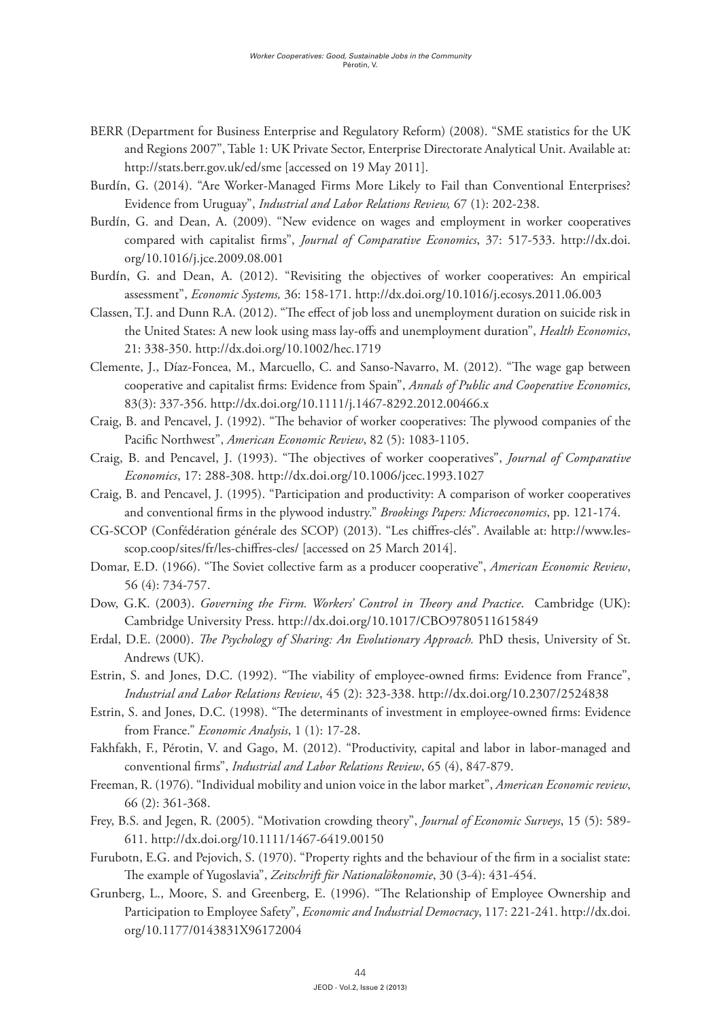- BERR (Department for Business Enterprise and Regulatory Reform) (2008). "SME statistics for the UK and Regions 2007", Table 1: UK Private Sector, Enterprise Directorate Analytical Unit. Available at: http://stats.berr.gov.uk/ed/sme [accessed on 19 May 2011].
- Burdín, G. (2014). "Are Worker-Managed Firms More Likely to Fail than Conventional Enterprises? Evidence from Uruguay", *Industrial and Labor Relations Review,* 67 (1): 202-238.
- BurdÍn, G. and Dean, A. (2009). "New evidence on wages and employment in worker cooperatives compared with capitalist firms", *Journal of Comparative Economics*, 37: 517-533. http://dx.doi. org/10.1016/j.jce.2009.08.001
- Burdín, G. and Dean, A. (2012). "Revisiting the objectives of worker cooperatives: An empirical assessment", *Economic Systems,* 36: 158-171. http://dx.doi.org/10.1016/j.ecosys.2011.06.003
- Classen, T.J. and Dunn R.A. (2012). "The effect of job loss and unemployment duration on suicide risk in the United States: A new look using mass lay-offs and unemployment duration", *Health Economics*, 21: 338-350. http://dx.doi.org/10.1002/hec.1719
- Clemente, J., Díaz-Foncea, M., Marcuello, C. and Sanso-Navarro, M. (2012). "The wage gap between cooperative and capitalist firms: Evidence from Spain", *Annals of Public and Cooperative Economics*, 83(3): 337-356. http://dx.doi.org/10.1111/j.1467-8292.2012.00466.x
- Craig, B. and Pencavel, J. (1992). "The behavior of worker cooperatives: The plywood companies of the Pacific Northwest", *American Economic Review*, 82 (5): 1083-1105.
- Craig, B. and Pencavel, J. (1993). "The objectives of worker cooperatives", *Journal of Comparative Economics*, 17: 288-308. http://dx.doi.org/10.1006/jcec.1993.1027
- Craig, B. and Pencavel, J. (1995). "Participation and productivity: A comparison of worker cooperatives and conventional firms in the plywood industry." *Brookings Papers: Microeconomics*, pp. 121-174.
- CG-SCOP (Confédération générale des SCOP) (2013). "Les chiffres-clés". Available at: http://www.lesscop.coop/sites/fr/les-chiffres-cles/ [accessed on 25 March 2014].
- Domar, E.D. (1966). "The Soviet collective farm as a producer cooperative", *American Economic Review*, 56 (4): 734-757.
- Dow, G.K. (2003). *Governing the Firm. Workers' Control in Theory and Practice*. Cambridge (UK): Cambridge University Press. http://dx.doi.org/10.1017/CBO9780511615849
- Erdal, D.E. (2000). *The Psychology of Sharing: An Evolutionary Approach.* PhD thesis, University of St. Andrews (UK).
- Estrin, S. and Jones, D.C. (1992). "The viability of employee-owned firms: Evidence from France", *Industrial and Labor Relations Review*, 45 (2): 323-338. http://dx.doi.org/10.2307/2524838
- Estrin, S. and Jones, D.C. (1998). "The determinants of investment in employee-owned firms: Evidence from France." *Economic Analysis*, 1 (1): 17-28.
- Fakhfakh, F., Pérotin, V. and Gago, M. (2012). "Productivity, capital and labor in labor-managed and conventional firms", *Industrial and Labor Relations Review*, 65 (4), 847-879.
- Freeman, R. (1976). "Individual mobility and union voice in the labor market", *American Economic review*, 66 (2): 361-368.
- Frey, B.S. and Jegen, R. (2005). "Motivation crowding theory", *Journal of Economic Surveys*, 15 (5): 589- 611. http://dx.doi.org/10.1111/1467-6419.00150
- Furubotn, E.G. and Pejovich, S. (1970). "Property rights and the behaviour of the firm in a socialist state: The example of Yugoslavia", *Zeitschrift für Nationalökonomie*, 30 (3-4): 431-454.
- Grunberg, L., Moore, S. and Greenberg, E. (1996). "The Relationship of Employee Ownership and Participation to Employee Safety", *Economic and Industrial Democracy*, 117: 221-241. http://dx.doi. org/10.1177/0143831X96172004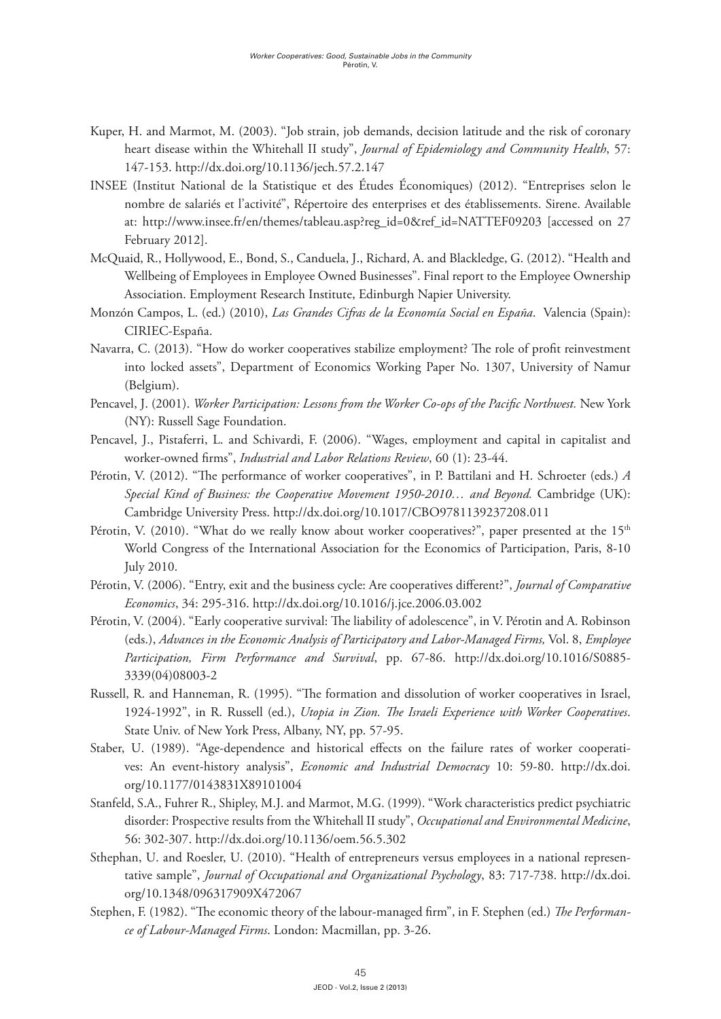- Kuper, H. and Marmot, M. (2003). "Job strain, job demands, decision latitude and the risk of coronary heart disease within the Whitehall II study", *Journal of Epidemiology and Community Health*, 57: 147-153. http://dx.doi.org/10.1136/jech.57.2.147
- INSEE (Institut National de la Statistique et des Études Économiques) (2012). "Entreprises selon le nombre de salariés et l'activité", Répertoire des enterprises et des établissements. Sirene. Available at: http://www.insee.fr/en/themes/tableau.asp?reg\_id=0&ref\_id=NATTEF09203 [accessed on 27 February 2012].
- McQuaid, R., Hollywood, E., Bond, S., Canduela, J., Richard, A. and Blackledge, G. (2012). "Health and Wellbeing of Employees in Employee Owned Businesses". Final report to the Employee Ownership Association. Employment Research Institute, Edinburgh Napier University.
- Monzón Campos, L. (ed.) (2010), *Las Grandes Cifras de la Economía Social en España*. Valencia (Spain): CIRIEC-España.
- Navarra, C. (2013). "How do worker cooperatives stabilize employment? The role of profit reinvestment into locked assets", Department of Economics Working Paper No. 1307, University of Namur (Belgium).
- Pencavel, J. (2001). *Worker Participation: Lessons from the Worker Co-ops of the Pacific Northwest.* New York (NY): Russell Sage Foundation.
- Pencavel, J., Pistaferri, L. and Schivardi, F. (2006). "Wages, employment and capital in capitalist and worker-owned firms", *Industrial and Labor Relations Review*, 60 (1): 23-44.
- Pérotin, V. (2012). "The performance of worker cooperatives", in P. Battilani and H. Schroeter (eds.) *A*  Special Kind of Business: the Cooperative Movement 1950-2010... and Beyond. Cambridge (UK): Cambridge University Press. http://dx.doi.org/10.1017/CBO9781139237208.011
- Pérotin, V. (2010). "What do we really know about worker cooperatives?", paper presented at the 15<sup>th</sup> World Congress of the International Association for the Economics of Participation, Paris, 8-10 July 2010.
- Pérotin, V. (2006). "Entry, exit and the business cycle: Are cooperatives different?", *Journal of Comparative Economics*, 34: 295-316. http://dx.doi.org/10.1016/j.jce.2006.03.002
- Pérotin, V. (2004). "Early cooperative survival: The liability of adolescence", in V. Pérotin and A. Robinson (eds.), *Advances in the Economic Analysis of Participatory and Labor-Managed Firms,* Vol. 8, *Employee Participation, Firm Performance and Survival*, pp. 67-86. http://dx.doi.org/10.1016/S0885- 3339(04)08003-2
- Russell, R. and Hanneman, R. (1995). "The formation and dissolution of worker cooperatives in Israel, 1924-1992", in R. Russell (ed.), *Utopia in Zion. The Israeli Experience with Worker Cooperatives*. State Univ. of New York Press, Albany, NY, pp. 57-95.
- Staber, U. (1989). "Age-dependence and historical effects on the failure rates of worker cooperatives: An event-history analysis", *Economic and Industrial Democracy* 10: 59-80. http://dx.doi. org/10.1177/0143831X89101004
- Stanfeld, S.A., Fuhrer R., Shipley, M.J. and Marmot, M.G. (1999). "Work characteristics predict psychiatric disorder: Prospective results from the Whitehall II study", *Occupational and Environmental Medicine*, 56: 302-307. http://dx.doi.org/10.1136/oem.56.5.302
- Sthephan, U. and Roesler, U. (2010). "Health of entrepreneurs versus employees in a national representative sample", *Journal of Occupational and Organizational Psychology*, 83: 717-738. http://dx.doi. org/10.1348/096317909X472067
- Stephen, F. (1982). "The economic theory of the labour-managed firm", in F. Stephen (ed.) *The Performance of Labour-Managed Firms*. London: Macmillan, pp. 3-26.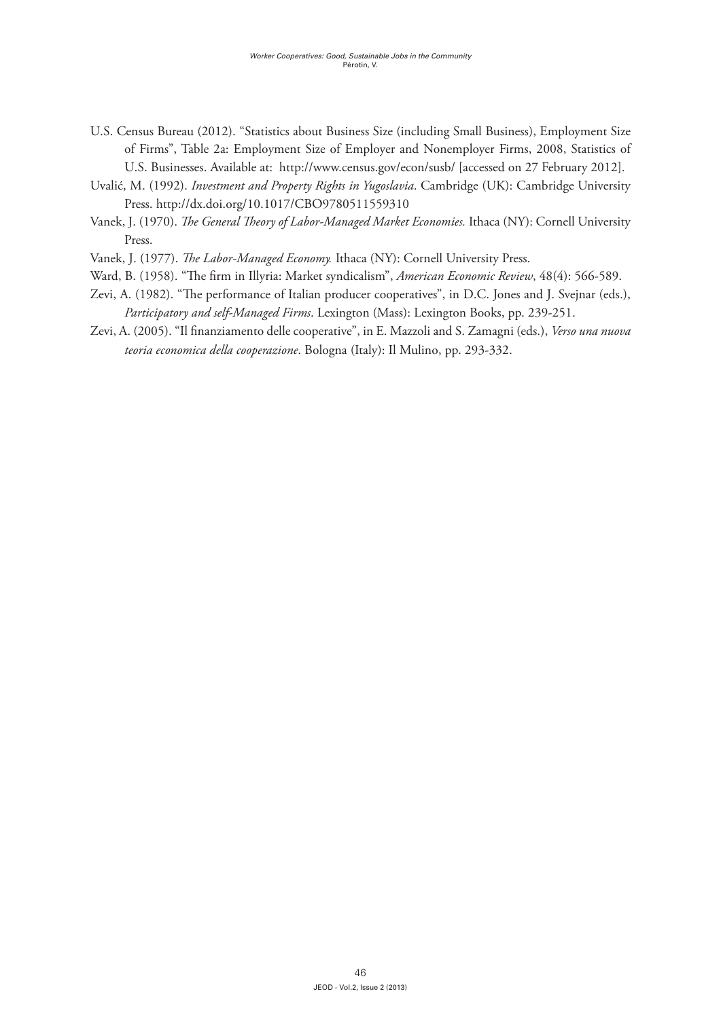- U.S. Census Bureau (2012). "Statistics about Business Size (including Small Business), Employment Size of Firms", Table 2a: Employment Size of Employer and Nonemployer Firms, 2008, Statistics of U.S. Businesses. Available at: http://www.census.gov/econ/susb/ [accessed on 27 February 2012].
- Uvalić, M. (1992). *Investment and Property Rights in Yugoslavia*. Cambridge (UK): Cambridge University Press. http://dx.doi.org/10.1017/CBO9780511559310
- Vanek, J. (1970). *The General Theory of Labor-Managed Market Economies.* Ithaca (NY): Cornell University Press.
- Vanek, J. (1977). *The Labor-Managed Economy.* Ithaca (NY): Cornell University Press.
- Ward, B. (1958). "The firm in Illyria: Market syndicalism", *American Economic Review*, 48(4): 566-589.
- Zevi, A. (1982). "The performance of Italian producer cooperatives", in D.C. Jones and J. Svejnar (eds.), *Participatory and self-Managed Firms*. Lexington (Mass): Lexington Books, pp. 239-251.
- Zevi, A. (2005). "Il finanziamento delle cooperative", in E. Mazzoli and S. Zamagni (eds.), *Verso una nuova teoria economica della cooperazione*. Bologna (Italy): Il Mulino, pp. 293-332.